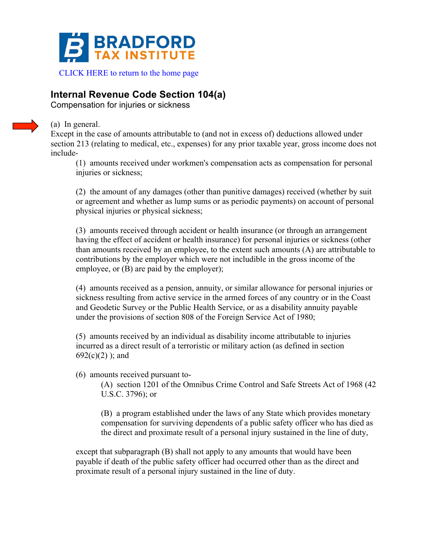

## **Internal Revenue Code Section 104(a)**

Compensation for injuries or sickness



## (a) In general.

Except in the case of amounts attributable to (and not in excess of) deductions allowed under section 213 (relating to medical, etc., expenses) for any prior taxable year, gross income does not include-

(1) amounts received under workmen's compensation acts as compensation for personal injuries or sickness;

(2) the amount of any damages (other than punitive damages) received (whether by suit or agreement and whether as lump sums or as periodic payments) on account of personal physical injuries or physical sickness;

(3) amounts received through accident or health insurance (or through an arrangement having the effect of accident or health insurance) for personal injuries or sickness (other than amounts received by an employee, to the extent such amounts (A) are attributable to contributions by the employer which were not includible in the gross income of the employee, or (B) are paid by the employer);

(4) amounts received as a pension, annuity, or similar allowance for personal injuries or sickness resulting from active service in the armed forces of any country or in the Coast and Geodetic Survey or the Public Health Service, or as a disability annuity payable under the provisions of section 808 of the Foreign Service Act of 1980;

(5) amounts received by an individual as disability income attributable to injuries incurred as a direct result of a terroristic or military action (as defined in section  $692(c)(2)$ ; and

(6) amounts received pursuant to-

(A) section 1201 of the Omnibus Crime Control and Safe Streets Act of 1968 (42 U.S.C. 3796); or

(B) a program established under the laws of any State which provides monetary compensation for surviving dependents of a public safety officer who has died as the direct and proximate result of a personal injury sustained in the line of duty,

except that subparagraph (B) shall not apply to any amounts that would have been payable if death of the public safety officer had occurred other than as the direct and proximate result of a personal injury sustained in the line of duty.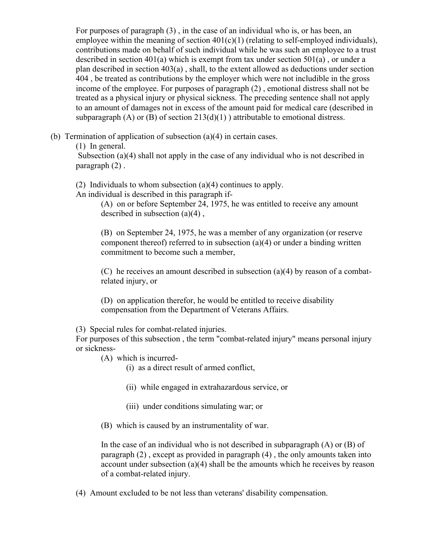For purposes of paragraph (3) , in the case of an individual who is, or has been, an employee within the meaning of section  $401(c)(1)$  (relating to self-employed individuals), contributions made on behalf of such individual while he was such an employee to a trust described in section 401(a) which is exempt from tax under section 501(a) , or under a plan described in section 403(a) , shall, to the extent allowed as deductions under section 404 , be treated as contributions by the employer which were not includible in the gross income of the employee. For purposes of paragraph (2) , emotional distress shall not be treated as a physical injury or physical sickness. The preceding sentence shall not apply to an amount of damages not in excess of the amount paid for medical care (described in subparagraph (A) or (B) of section  $213(d)(1)$ ) attributable to emotional distress.

(b) Termination of application of subsection (a)(4) in certain cases.

(1) In general.

Subsection (a)(4) shall not apply in the case of any individual who is not described in paragraph (2) .

(2) Individuals to whom subsection (a)(4) continues to apply.

An individual is described in this paragraph if-

(A) on or before September 24, 1975, he was entitled to receive any amount described in subsection (a)(4) ,

(B) on September 24, 1975, he was a member of any organization (or reserve component thereof) referred to in subsection (a)(4) or under a binding written commitment to become such a member,

(C) he receives an amount described in subsection (a)(4) by reason of a combatrelated injury, or

(D) on application therefor, he would be entitled to receive disability compensation from the Department of Veterans Affairs.

(3) Special rules for combat-related injuries.

For purposes of this subsection , the term "combat-related injury" means personal injury or sickness-

(A) which is incurred-

(i) as a direct result of armed conflict,

- (ii) while engaged in extrahazardous service, or
- (iii) under conditions simulating war; or
- (B) which is caused by an instrumentality of war.

In the case of an individual who is not described in subparagraph (A) or (B) of paragraph (2) , except as provided in paragraph (4) , the only amounts taken into account under subsection (a)(4) shall be the amounts which he receives by reason of a combat-related injury.

(4) Amount excluded to be not less than veterans' disability compensation.